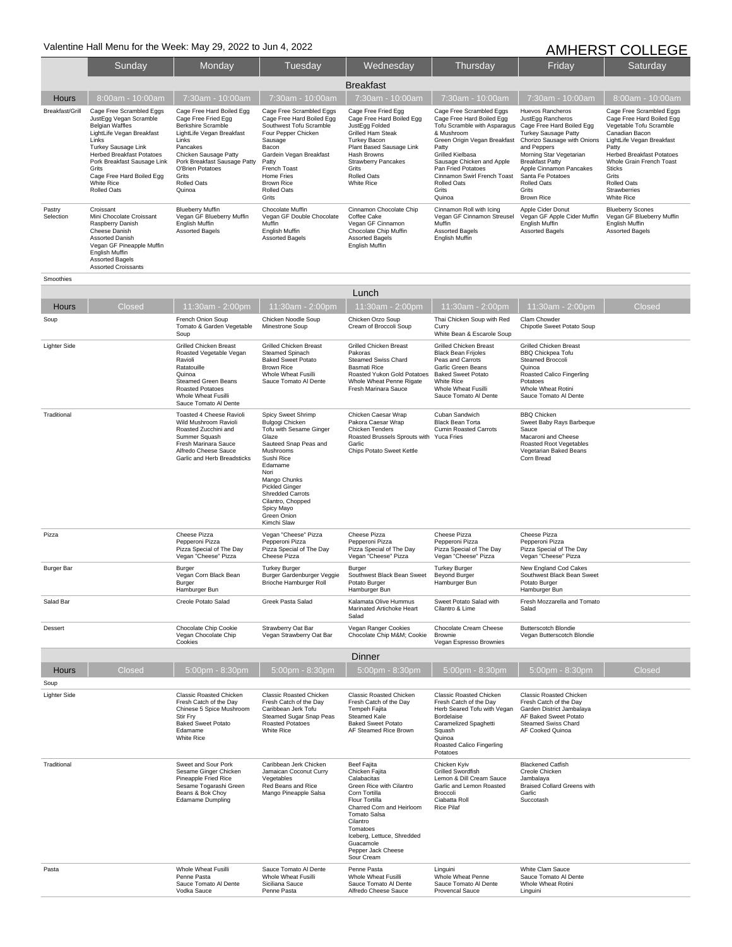## Valentine Hall Menu for the Week: May 29, 2022 to Jun 4, 2022 **AMHERST COLLEGE**

|                     | Sunday                                                                                                                                                                                                                                                                                        | Monday                                                                                                                                                                                                                                                | Tuesday                                                                                                                                                                                                                                    | Wednesday                                                                                                                                                                                                                                          | Thursday                                                                                                                                                                                                                                                                                    | Friday                                                                                                                                                                                                                                                                                            | Saturday                                                                                                                                                                                                                                                                                             |  |
|---------------------|-----------------------------------------------------------------------------------------------------------------------------------------------------------------------------------------------------------------------------------------------------------------------------------------------|-------------------------------------------------------------------------------------------------------------------------------------------------------------------------------------------------------------------------------------------------------|--------------------------------------------------------------------------------------------------------------------------------------------------------------------------------------------------------------------------------------------|----------------------------------------------------------------------------------------------------------------------------------------------------------------------------------------------------------------------------------------------------|---------------------------------------------------------------------------------------------------------------------------------------------------------------------------------------------------------------------------------------------------------------------------------------------|---------------------------------------------------------------------------------------------------------------------------------------------------------------------------------------------------------------------------------------------------------------------------------------------------|------------------------------------------------------------------------------------------------------------------------------------------------------------------------------------------------------------------------------------------------------------------------------------------------------|--|
|                     | <b>Breakfast</b>                                                                                                                                                                                                                                                                              |                                                                                                                                                                                                                                                       |                                                                                                                                                                                                                                            |                                                                                                                                                                                                                                                    |                                                                                                                                                                                                                                                                                             |                                                                                                                                                                                                                                                                                                   |                                                                                                                                                                                                                                                                                                      |  |
| <b>Hours</b>        | 8:00am - 10:00am                                                                                                                                                                                                                                                                              | 7:30am - 10:00am                                                                                                                                                                                                                                      | 7:30am - 10:00am                                                                                                                                                                                                                           | 7:30am - 10:00am                                                                                                                                                                                                                                   | 7:30am - 10:00am                                                                                                                                                                                                                                                                            | 7:30am - 10:00am                                                                                                                                                                                                                                                                                  | 8:00am - 10:00am                                                                                                                                                                                                                                                                                     |  |
| Breakfast/Grill     | Cage Free Scrambled Eggs<br>JustEgg Vegan Scramble<br><b>Belgian Waffles</b><br>LightLife Vegan Breakfast<br>Links<br>Turkey Sausage Link<br><b>Herbed Breakfast Potatoes</b><br>Pork Breakfast Sausage Link<br>Grits<br>Cage Free Hard Boiled Egg<br><b>White Rice</b><br><b>Rolled Oats</b> | Cage Free Hard Boiled Egg<br>Cage Free Fried Egg<br><b>Berkshire Scramble</b><br>LightLife Vegan Breakfast<br>Links<br>Pancakes<br>Chicken Sausage Patty<br>Pork Breakfast Sausage Patty<br>O'Brien Potatoes<br>Grits<br><b>Rolled Oats</b><br>Quinoa | Cage Free Scrambled Eggs<br>Cage Free Hard Boiled Egg<br>Southwest Tofu Scramble<br>Four Pepper Chicken<br>Sausage<br>Bacon<br>Gardein Vegan Breakfast<br>Patty<br>French Toast<br>Home Fries<br><b>Brown Rice</b><br>Rolled Oats<br>Grits | Cage Free Fried Egg<br>Cage Free Hard Boiled Egg<br>JustEgg Folded<br><b>Grilled Ham Steak</b><br><b>Turkey Bacon</b><br>Plant Based Sausage Link<br>Hash Browns<br><b>Strawberry Pancakes</b><br>Grits<br><b>Rolled Oats</b><br><b>White Rice</b> | Cage Free Scrambled Eggs<br>Cage Free Hard Boiled Egg<br>Tofu Scramble with Asparagus<br>& Mushroom<br>Green Origin Vegan Breakfast<br>Patty<br>Grilled Kielbasa<br>Sausage Chicken and Apple<br>Pan Fried Potatoes<br>Cinnamon Swirl French Toast<br><b>Rolled Oats</b><br>Grits<br>Quinoa | Huevos Rancheros<br>JustEgg Rancheros<br>Cage Free Hard Boiled Egg<br><b>Turkey Sausage Patty</b><br>Chorizo Sausage with Onions<br>and Peppers<br>Morning Star Vegetarian<br><b>Breakfast Patty</b><br>Apple Cinnamon Pancakes<br>Santa Fe Potatoes<br><b>Rolled Oats</b><br>Grits<br>Brown Rice | Cage Free Scrambled Eggs<br>Cage Free Hard Boiled Egg<br>Vegetable Tofu Scramble<br>Canadian Bacon<br>LightLife Vegan Breakfast<br>Patty<br><b>Herbed Breakfast Potatoes</b><br>Whole Grain French Toast<br><b>Sticks</b><br>Grits<br><b>Rolled Oats</b><br><b>Strawberries</b><br><b>White Rice</b> |  |
| Pastry<br>Selection | Croissant<br>Mini Chocolate Croissant<br>Raspberry Danish<br>Cheese Danish<br><b>Assorted Danish</b><br>Vegan GF Pineapple Muffin<br>English Muffin<br><b>Assorted Bagels</b><br><b>Assorted Croissants</b>                                                                                   | <b>Blueberry Muffin</b><br>Vegan GF Blueberry Muffin<br>English Muffin<br>Assorted Bagels                                                                                                                                                             | Chocolate Muffin<br>Vegan GF Double Chocolate<br>Muffin<br>English Muffin<br>Assorted Bagels                                                                                                                                               | Cinnamon Chocolate Chip<br>Coffee Cake<br>Vegan GF Cinnamon<br>Chocolate Chip Muffin<br><b>Assorted Bagels</b><br>English Muffin                                                                                                                   | Cinnamon Roll with Icing<br>Vegan GF Cinnamon Streusel<br>Muffin<br><b>Assorted Bagels</b><br><b>English Muffin</b>                                                                                                                                                                         | Apple Cider Donut<br>Vegan GF Apple Cider Muffin<br>English Muffin<br>Assorted Bagels                                                                                                                                                                                                             | <b>Blueberry Scones</b><br>Vegan GF Blueberry Muffin<br>English Muffin<br>Assorted Bagels                                                                                                                                                                                                            |  |

| Smoothies           |                                                                                                                                                                                                |                                                                                                                                                                                                                                                                                       |                                                                                                                                                                                                                                                                        |                                                                                                                                                                                           |                                                                                                                                                                                 |        |
|---------------------|------------------------------------------------------------------------------------------------------------------------------------------------------------------------------------------------|---------------------------------------------------------------------------------------------------------------------------------------------------------------------------------------------------------------------------------------------------------------------------------------|------------------------------------------------------------------------------------------------------------------------------------------------------------------------------------------------------------------------------------------------------------------------|-------------------------------------------------------------------------------------------------------------------------------------------------------------------------------------------|---------------------------------------------------------------------------------------------------------------------------------------------------------------------------------|--------|
|                     |                                                                                                                                                                                                |                                                                                                                                                                                                                                                                                       | Lunch                                                                                                                                                                                                                                                                  |                                                                                                                                                                                           |                                                                                                                                                                                 |        |
| Closed<br>Hours     | 11:30am - 2:00pm                                                                                                                                                                               | 11:30am - 2:00pm                                                                                                                                                                                                                                                                      | 11:30am - 2:00pm                                                                                                                                                                                                                                                       | 11:30am - 2:00pm                                                                                                                                                                          | 11:30am - 2:00pm                                                                                                                                                                | Closed |
| Soup                | French Onion Soup<br>Tomato & Garden Vegetable<br>Soup                                                                                                                                         | Chicken Noodle Soup<br>Minestrone Soup                                                                                                                                                                                                                                                | Chicken Orzo Soup<br>Cream of Broccoli Soup                                                                                                                                                                                                                            | Thai Chicken Soup with Red<br>Curry<br>White Bean & Escarole Soup                                                                                                                         | Clam Chowder<br>Chipotle Sweet Potato Soup                                                                                                                                      |        |
| <b>Lighter Side</b> | <b>Grilled Chicken Breast</b><br>Roasted Vegetable Vegan<br>Ravioli<br>Ratatouille<br>Quinoa<br><b>Steamed Green Beans</b><br>Roasted Potatoes<br>Whole Wheat Fusilli<br>Sauce Tomato Al Dente | <b>Grilled Chicken Breast</b><br>Steamed Spinach<br><b>Baked Sweet Potato</b><br><b>Brown Rice</b><br>Whole Wheat Fusilli<br>Sauce Tomato Al Dente                                                                                                                                    | <b>Grilled Chicken Breast</b><br>Pakoras<br><b>Steamed Swiss Chard</b><br><b>Basmati Rice</b><br>Roasted Yukon Gold Potatoes<br>Whole Wheat Penne Rigate<br>Fresh Marinara Sauce                                                                                       | Grilled Chicken Breast<br><b>Black Bean Frijoles</b><br>Peas and Carrots<br>Garlic Green Beans<br><b>Baked Sweet Potato</b><br>White Rice<br>Whole Wheat Fusilli<br>Sauce Tomato Al Dente | <b>Grilled Chicken Breast</b><br><b>BBQ Chickpea Tofu</b><br>Steamed Broccoli<br>Quinoa<br>Roasted Calico Fingerling<br>Potatoes<br>Whole Wheat Rotini<br>Sauce Tomato Al Dente |        |
| Traditional         | Toasted 4 Cheese Ravioli<br>Wild Mushroom Ravioli<br>Roasted Zucchini and<br>Summer Squash<br>Fresh Marinara Sauce<br>Alfredo Cheese Sauce<br>Garlic and Herb Breadsticks                      | Spicy Sweet Shrimp<br>Bulgogi Chicken<br>Tofu with Sesame Ginger<br>Glaze<br>Sauteed Snap Peas and<br>Mushrooms<br>Sushi Rice<br>Edamame<br>Nori<br>Mango Chunks<br><b>Pickled Ginger</b><br><b>Shredded Carrots</b><br>Cilantro, Chopped<br>Spicy Mayo<br>Green Onion<br>Kimchi Slaw | Chicken Caesar Wrap<br>Pakora Caesar Wrap<br>Chicken Tenders<br>Roasted Brussels Sprouts with<br>Garlic<br>Chips Potato Sweet Kettle                                                                                                                                   | Cuban Sandwich<br><b>Black Bean Torta</b><br><b>Cumin Roasted Carrots</b><br><b>Yuca Fries</b>                                                                                            | <b>BBQ Chicken</b><br>Sweet Baby Rays Barbeque<br>Sauce<br>Macaroni and Cheese<br>Roasted Root Vegetables<br>Vegetarian Baked Beans<br>Corn Bread                               |        |
| Pizza               | Cheese Pizza<br>Pepperoni Pizza<br>Pizza Special of The Day<br>Vegan "Cheese" Pizza                                                                                                            | Vegan "Cheese" Pizza<br>Pepperoni Pizza<br>Pizza Special of The Day<br>Cheese Pizza                                                                                                                                                                                                   | Cheese Pizza<br>Pepperoni Pizza<br>Pizza Special of The Day<br>Vegan "Cheese" Pizza                                                                                                                                                                                    | Cheese Pizza<br>Pepperoni Pizza<br>Pizza Special of The Day<br>Vegan "Cheese" Pizza                                                                                                       | Cheese Pizza<br>Pepperoni Pizza<br>Pizza Special of The Day<br>Vegan "Cheese" Pizza                                                                                             |        |
| <b>Burger Bar</b>   | Burger<br>Vegan Corn Black Bean<br>Burger<br>Hamburger Bun                                                                                                                                     | <b>Turkey Burger</b><br>Burger Gardenburger Veggie<br>Brioche Hamburger Roll                                                                                                                                                                                                          | Burger<br>Southwest Black Bean Sweet<br>Potato Burger<br>Hamburger Bun                                                                                                                                                                                                 | <b>Turkey Burger</b><br>Beyond Burger<br>Hamburger Bun                                                                                                                                    | New England Cod Cakes<br>Southwest Black Bean Sweet<br>Potato Burger<br>Hamburger Bun                                                                                           |        |
| Salad Bar           | Creole Potato Salad                                                                                                                                                                            | Greek Pasta Salad                                                                                                                                                                                                                                                                     | Kalamata Olive Hummus<br>Marinated Artichoke Heart<br>Salad                                                                                                                                                                                                            | Sweet Potato Salad with<br>Cilantro & Lime                                                                                                                                                | Fresh Mozzarella and Tomato<br>Salad                                                                                                                                            |        |
| Dessert             | Chocolate Chip Cookie<br>Vegan Chocolate Chip<br>Cookies                                                                                                                                       | Strawberry Oat Bar<br>Vegan Strawberry Oat Bar                                                                                                                                                                                                                                        | Vegan Ranger Cookies<br>Chocolate Chip M&M Cookie                                                                                                                                                                                                                      | Chocolate Cream Cheese<br>Brownie<br>Vegan Espresso Brownies                                                                                                                              | <b>Butterscotch Blondie</b><br>Vegan Butterscotch Blondie                                                                                                                       |        |
|                     |                                                                                                                                                                                                |                                                                                                                                                                                                                                                                                       | Dinner                                                                                                                                                                                                                                                                 |                                                                                                                                                                                           |                                                                                                                                                                                 |        |
| Hours<br>Closed     | 5:00pm - 8:30pm                                                                                                                                                                                | 5:00pm - 8:30pm                                                                                                                                                                                                                                                                       | 5:00pm - 8:30pm                                                                                                                                                                                                                                                        | 5:00pm - 8:30pm                                                                                                                                                                           | 5:00pm - 8:30pm                                                                                                                                                                 | Closed |
| Soup                |                                                                                                                                                                                                |                                                                                                                                                                                                                                                                                       |                                                                                                                                                                                                                                                                        |                                                                                                                                                                                           |                                                                                                                                                                                 |        |
| Lighter Side        | Classic Roasted Chicken<br>Fresh Catch of the Day<br>Chinese 5 Spice Mushroom<br>Stir Fry<br><b>Baked Sweet Potato</b><br>Edamame<br>White Rice                                                | Classic Roasted Chicken<br>Fresh Catch of the Day<br>Caribbean Jerk Tofu<br>Steamed Sugar Snap Peas<br>Roasted Potatoes<br><b>White Rice</b>                                                                                                                                          | Classic Roasted Chicken<br>Fresh Catch of the Day<br>Tempeh Fajita<br>Steamed Kale<br><b>Baked Sweet Potato</b><br>AF Steamed Rice Brown                                                                                                                               | Classic Roasted Chicken<br>Fresh Catch of the Day<br>Herb Seared Tofu with Vegan<br>Bordelaise<br>Caramelized Spaghetti<br>Squash<br>Quinoa<br>Roasted Calico Fingerling<br>Potatoes      | Classic Roasted Chicken<br>Fresh Catch of the Day<br>Garden District Jambalaya<br>AF Baked Sweet Potato<br>Steamed Swiss Chard<br>AF Cooked Quinoa                              |        |
| Traditional         | Sweet and Sour Pork<br>Sesame Ginger Chicken<br>Pineapple Fried Rice<br>Sesame Togarashi Green<br>Beans & Bok Choy<br><b>Edamame Dumpling</b>                                                  | Caribbean Jerk Chicken<br>Jamaican Coconut Curry<br>Vegetables<br>Red Beans and Rice<br>Mango Pineapple Salsa                                                                                                                                                                         | Beef Fajita<br>Chicken Fajita<br>Calabacitas<br>Green Rice with Cilantro<br>Corn Tortilla<br>Flour Tortilla<br>Charred Corn and Heirloom<br><b>Tomato Salsa</b><br>Cilantro<br>Tomatoes<br>Iceberg, Lettuce, Shredded<br>Guacamole<br>Pepper Jack Cheese<br>Sour Cream | Chicken Kyiv<br>Grilled Swordfish<br>Lemon & Dill Cream Sauce<br>Garlic and Lemon Roasted<br>Broccoli<br>Ciabatta Roll<br><b>Rice Pilat</b>                                               | <b>Blackened Catfish</b><br>Creole Chicken<br>Jambalava<br><b>Braised Collard Greens with</b><br>Garlic<br>Succotash                                                            |        |
| Pasta               | Whole Wheat Fusilli<br>Penne Pasta<br>Sauce Tomato Al Dente<br>Vodka Sauce                                                                                                                     | Sauce Tomato Al Dente<br>Whole Wheat Fusilli<br>Siciliana Sauce<br>Penne Pasta                                                                                                                                                                                                        | Penne Pasta<br>Whole Wheat Fusilli<br>Sauce Tomato Al Dente<br>Alfredo Cheese Sauce                                                                                                                                                                                    | Linguini<br>Whole Wheat Penne<br>Sauce Tomato Al Dente<br><b>Provencal Sauce</b>                                                                                                          | White Clam Sauce<br>Sauce Tomato Al Dente<br>Whole Wheat Rotini<br>Linguini                                                                                                     |        |